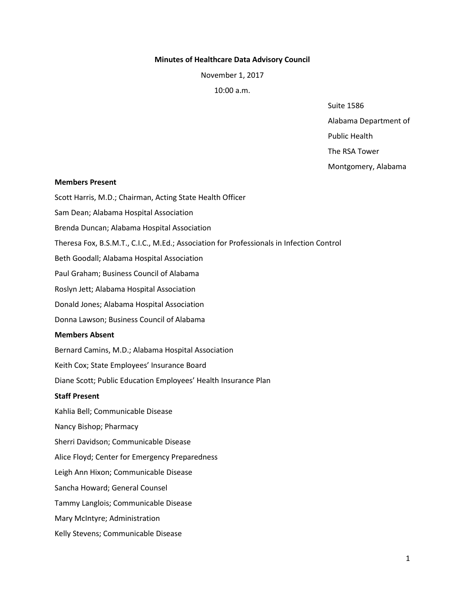### **Minutes of Healthcare Data Advisory Council**

November 1, 2017

10:00 a.m.

Suite 1586

Alabama Department of

Public Health

The RSA Tower

Montgomery, Alabama

#### **Members Present**

Scott Harris, M.D.; Chairman, Acting State Health Officer Sam Dean; Alabama Hospital Association Brenda Duncan; Alabama Hospital Association Theresa Fox, B.S.M.T., C.I.C., M.Ed.; Association for Professionals in Infection Control Beth Goodall; Alabama Hospital Association Paul Graham; Business Council of Alabama Roslyn Jett; Alabama Hospital Association Donald Jones; Alabama Hospital Association Donna Lawson; Business Council of Alabama **Members Absent**  Bernard Camins, M.D.; Alabama Hospital Association Keith Cox; State Employees' Insurance Board Diane Scott; Public Education Employees' Health Insurance Plan **Staff Present**  Kahlia Bell; Communicable Disease Nancy Bishop; Pharmacy Sherri Davidson; Communicable Disease Alice Floyd; Center for Emergency Preparedness Leigh Ann Hixon; Communicable Disease Sancha Howard; General Counsel Tammy Langlois; Communicable Disease Mary McIntyre; Administration

Kelly Stevens; Communicable Disease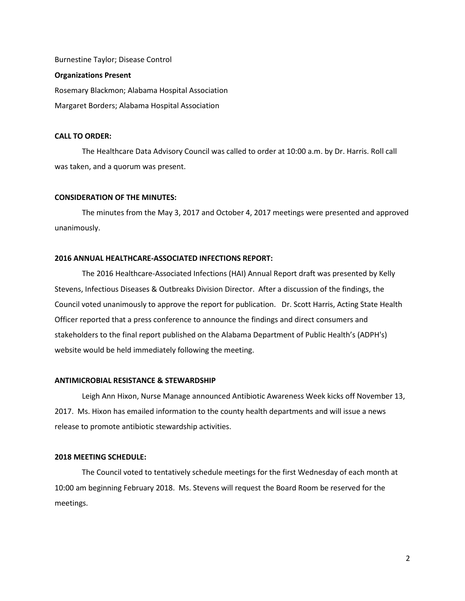Burnestine Taylor; Disease Control **Organizations Present**  Rosemary Blackmon; Alabama Hospital Association Margaret Borders; Alabama Hospital Association

#### **CALL TO ORDER:**

The Healthcare Data Advisory Council was called to order at 10:00 a.m. by Dr. Harris. Roll call was taken, and a quorum was present.

## **CONSIDERATION OF THE MINUTES:**

The minutes from the May 3, 2017 and October 4, 2017 meetings were presented and approved unanimously.

### **2016 ANNUAL HEALTHCARE-ASSOCIATED INFECTIONS REPORT:**

The 2016 Healthcare-Associated Infections (HAI) Annual Report draft was presented by Kelly Stevens, Infectious Diseases & Outbreaks Division Director. After a discussion of the findings, the Council voted unanimously to approve the report for publication. Dr. Scott Harris, Acting State Health Officer reported that a press conference to announce the findings and direct consumers and stakeholders to the final report published on the Alabama Department of Public Health's (ADPH's) website would be held immediately following the meeting.

#### **ANTIMICROBIAL RESISTANCE & STEWARDSHIP**

Leigh Ann Hixon, Nurse Manage announced Antibiotic Awareness Week kicks off November 13, 2017. Ms. Hixon has emailed information to the county health departments and will issue a news release to promote antibiotic stewardship activities.

### **2018 MEETING SCHEDULE:**

The Council voted to tentatively schedule meetings for the first Wednesday of each month at 10:00 am beginning February 2018. Ms. Stevens will request the Board Room be reserved for the meetings.